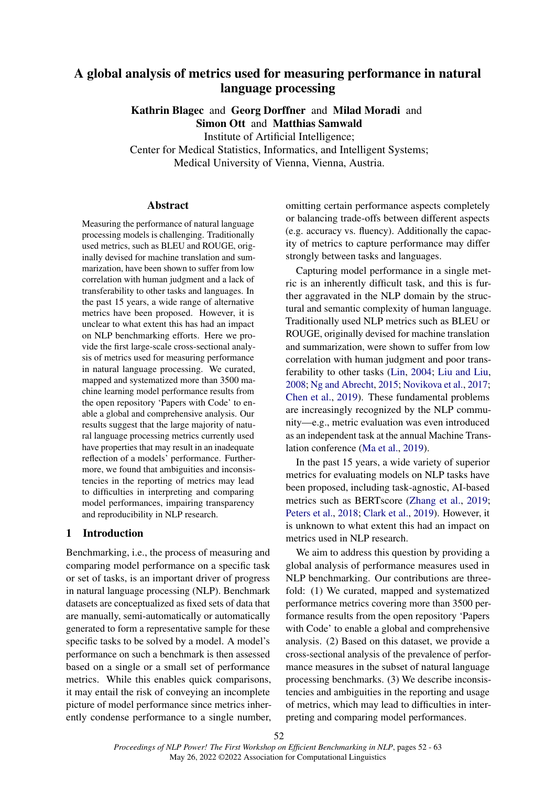# A global analysis of metrics used for measuring performance in natural language processing

Kathrin Blagec and Georg Dorffner and Milad Moradi and Simon Ott and Matthias Samwald Institute of Artificial Intelligence; Center for Medical Statistics, Informatics, and Intelligent Systems; Medical University of Vienna, Vienna, Austria.

#### Abstract

Measuring the performance of natural language processing models is challenging. Traditionally used metrics, such as BLEU and ROUGE, originally devised for machine translation and summarization, have been shown to suffer from low correlation with human judgment and a lack of transferability to other tasks and languages. In the past 15 years, a wide range of alternative metrics have been proposed. However, it is unclear to what extent this has had an impact on NLP benchmarking efforts. Here we provide the first large-scale cross-sectional analysis of metrics used for measuring performance in natural language processing. We curated, mapped and systematized more than 3500 machine learning model performance results from the open repository 'Papers with Code' to enable a global and comprehensive analysis. Our results suggest that the large majority of natural language processing metrics currently used have properties that may result in an inadequate reflection of a models' performance. Furthermore, we found that ambiguities and inconsistencies in the reporting of metrics may lead to difficulties in interpreting and comparing model performances, impairing transparency and reproducibility in NLP research.

# 1 Introduction

Benchmarking, i.e., the process of measuring and comparing model performance on a specific task or set of tasks, is an important driver of progress in natural language processing (NLP). Benchmark datasets are conceptualized as fixed sets of data that are manually, semi-automatically or automatically generated to form a representative sample for these specific tasks to be solved by a model. A model's performance on such a benchmark is then assessed based on a single or a small set of performance metrics. While this enables quick comparisons, it may entail the risk of conveying an incomplete picture of model performance since metrics inherently condense performance to a single number, omitting certain performance aspects completely or balancing trade-offs between different aspects (e.g. accuracy vs. fluency). Additionally the capacity of metrics to capture performance may differ strongly between tasks and languages.

Capturing model performance in a single metric is an inherently difficult task, and this is further aggravated in the NLP domain by the structural and semantic complexity of human language. Traditionally used NLP metrics such as BLEU or ROUGE, originally devised for machine translation and summarization, were shown to suffer from low correlation with human judgment and poor transferability to other tasks [\(Lin,](#page-7-0) [2004;](#page-7-0) [Liu and Liu,](#page-7-1) [2008;](#page-7-1) [Ng and Abrecht,](#page-8-0) [2015;](#page-8-0) [Novikova et al.,](#page-8-1) [2017;](#page-8-1) [Chen et al.,](#page-7-2) [2019\)](#page-7-2). These fundamental problems are increasingly recognized by the NLP community—e.g., metric evaluation was even introduced as an independent task at the annual Machine Translation conference [\(Ma et al.,](#page-7-3) [2019\)](#page-7-3).

In the past 15 years, a wide variety of superior metrics for evaluating models on NLP tasks have been proposed, including task-agnostic, AI-based metrics such as BERTscore [\(Zhang et al.,](#page-8-2) [2019;](#page-8-2) [Peters et al.,](#page-8-3) [2018;](#page-8-3) [Clark et al.,](#page-7-4) [2019\)](#page-7-4). However, it is unknown to what extent this had an impact on metrics used in NLP research.

We aim to address this question by providing a global analysis of performance measures used in NLP benchmarking. Our contributions are threefold: (1) We curated, mapped and systematized performance metrics covering more than 3500 performance results from the open repository 'Papers with Code' to enable a global and comprehensive analysis. (2) Based on this dataset, we provide a cross-sectional analysis of the prevalence of performance measures in the subset of natural language processing benchmarks. (3) We describe inconsistencies and ambiguities in the reporting and usage of metrics, which may lead to difficulties in interpreting and comparing model performances.

*Proceedings of NLP Power! The First Workshop on Efficient Benchmarking in NLP*, pages 52 - 63 May 26, 2022 ©2022 Association for Computational Linguistics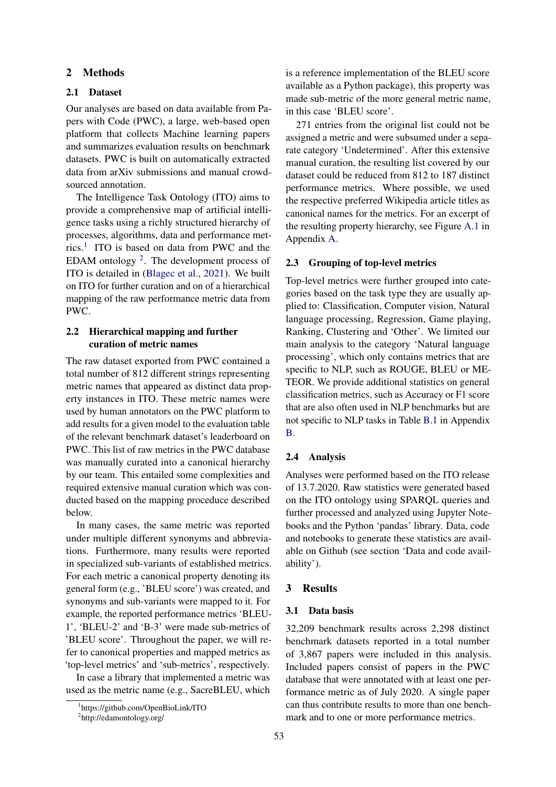## 2 Methods

# 2.1 Dataset

Our analyses are based on data available from Papers with Code (PWC), a large, web-based open platform that collects Machine learning papers and summarizes evaluation results on benchmark datasets. PWC is built on automatically extracted data from arXiv submissions and manual crowdsourced annotation.

The Intelligence Task Ontology (ITO) aims to provide a comprehensive map of artificial intelligence tasks using a richly structured hierarchy of processes, algorithms, data and performance metrics.[1](#page-1-0) ITO is based on data from PWC and the EDAM ontology  $2$ . The development process of ITO is detailed in [\(Blagec et al.,](#page-7-5) [2021\)](#page-7-5). We built on ITO for further curation and on of a hierarchical mapping of the raw performance metric data from PWC.

## 2.2 Hierarchical mapping and further curation of metric names

The raw dataset exported from PWC contained a total number of 812 different strings representing metric names that appeared as distinct data property instances in ITO. These metric names were used by human annotators on the PWC platform to add results for a given model to the evaluation table of the relevant benchmark dataset's leaderboard on PWC. This list of raw metrics in the PWC database was manually curated into a canonical hierarchy by our team. This entailed some complexities and required extensive manual curation which was conducted based on the mapping proceduce described below.

In many cases, the same metric was reported under multiple different synonyms and abbreviations. Furthermore, many results were reported in specialized sub-variants of established metrics. For each metric a canonical property denoting its general form (e.g., 'BLEU score') was created, and synonyms and sub-variants were mapped to it. For example, the reported performance metrics 'BLEU-1', 'BLEU-2' and 'B-3' were made sub-metrics of 'BLEU score'. Throughout the paper, we will refer to canonical properties and mapped metrics as 'top-level metrics' and 'sub-metrics', respectively.

In case a library that implemented a metric was used as the metric name (e.g., SacreBLEU, which is a reference implementation of the BLEU score available as a Python package), this property was made sub-metric of the more general metric name, in this case 'BLEU score'.

271 entries from the original list could not be assigned a metric and were subsumed under a separate category 'Undetermined'. After this extensive manual curation, the resulting list covered by our dataset could be reduced from 812 to 187 distinct performance metrics. Where possible, we used the respective preferred Wikipedia article titles as canonical names for the metrics. For an excerpt of the resulting property hierarchy, see Figure [A.1](#page-9-0) in Appendix [A.](#page-8-4)

#### 2.3 Grouping of top-level metrics

Top-level metrics were further grouped into categories based on the task type they are usually applied to: Classification, Computer vision, Natural language processing, Regression, Game playing, Ranking, Clustering and 'Other'. We limited our main analysis to the category 'Natural language processing', which only contains metrics that are specific to NLP, such as ROUGE, BLEU or ME-TEOR. We provide additional statistics on general classification metrics, such as Accuracy or F1 score that are also often used in NLP benchmarks but are not specific to NLP tasks in Table [B.1](#page-10-0) in Appendix [B.](#page-8-5)

## 2.4 Analysis

Analyses were performed based on the ITO release of 13.7.2020. Raw statistics were generated based on the ITO ontology using SPARQL queries and further processed and analyzed using Jupyter Notebooks and the Python 'pandas' library. Data, code and notebooks to generate these statistics are available on Github (see section 'Data and code availability').

## 3 Results

#### 3.1 Data basis

32,209 benchmark results across 2,298 distinct benchmark datasets reported in a total number of 3,867 papers were included in this analysis. Included papers consist of papers in the PWC database that were annotated with at least one performance metric as of July 2020. A single paper can thus contribute results to more than one benchmark and to one or more performance metrics.

<span id="page-1-0"></span><sup>1</sup> https://github.com/OpenBioLink/ITO

<span id="page-1-1"></span><sup>&</sup>lt;sup>2</sup>http://edamontology.org/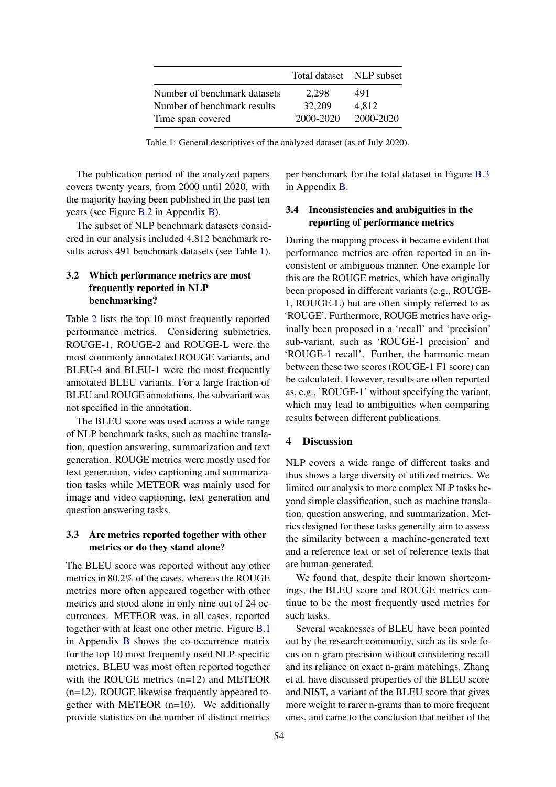<span id="page-2-0"></span>

|                              | Total dataset NLP subset |           |
|------------------------------|--------------------------|-----------|
| Number of benchmark datasets | 2.298                    | 491       |
| Number of benchmark results  | 32.209                   | 4.812     |
| Time span covered            | 2000-2020                | 2000-2020 |

Table 1: General descriptives of the analyzed dataset (as of July 2020).

The publication period of the analyzed papers covers twenty years, from 2000 until 2020, with the majority having been published in the past ten years (see Figure [B.2](#page-10-1) in Appendix [B\)](#page-8-5).

The subset of NLP benchmark datasets considered in our analysis included 4,812 benchmark results across 491 benchmark datasets (see Table [1\)](#page-2-0).

# 3.2 Which performance metrics are most frequently reported in NLP benchmarking?

Table [2](#page-3-0) lists the top 10 most frequently reported performance metrics. Considering submetrics, ROUGE-1, ROUGE-2 and ROUGE-L were the most commonly annotated ROUGE variants, and BLEU-4 and BLEU-1 were the most frequently annotated BLEU variants. For a large fraction of BLEU and ROUGE annotations, the subvariant was not specified in the annotation.

The BLEU score was used across a wide range of NLP benchmark tasks, such as machine translation, question answering, summarization and text generation. ROUGE metrics were mostly used for text generation, video captioning and summarization tasks while METEOR was mainly used for image and video captioning, text generation and question answering tasks.

# 3.3 Are metrics reported together with other metrics or do they stand alone?

The BLEU score was reported without any other metrics in 80.2% of the cases, whereas the ROUGE metrics more often appeared together with other metrics and stood alone in only nine out of 24 occurrences. METEOR was, in all cases, reported together with at least one other metric. Figure [B.1](#page-9-1) in Appendix [B](#page-8-5) shows the co-occurrence matrix for the top 10 most frequently used NLP-specific metrics. BLEU was most often reported together with the ROUGE metrics (n=12) and METEOR (n=12). ROUGE likewise frequently appeared together with METEOR (n=10). We additionally provide statistics on the number of distinct metrics

per benchmark for the total dataset in Figure [B.3](#page-11-0) in Appendix [B.](#page-8-5)

## 3.4 Inconsistencies and ambiguities in the reporting of performance metrics

During the mapping process it became evident that performance metrics are often reported in an inconsistent or ambiguous manner. One example for this are the ROUGE metrics, which have originally been proposed in different variants (e.g., ROUGE-1, ROUGE-L) but are often simply referred to as 'ROUGE'. Furthermore, ROUGE metrics have originally been proposed in a 'recall' and 'precision' sub-variant, such as 'ROUGE-1 precision' and 'ROUGE-1 recall'. Further, the harmonic mean between these two scores (ROUGE-1 F1 score) can be calculated. However, results are often reported as, e.g., 'ROUGE-1' without specifying the variant, which may lead to ambiguities when comparing results between different publications.

### 4 Discussion

NLP covers a wide range of different tasks and thus shows a large diversity of utilized metrics. We limited our analysis to more complex NLP tasks beyond simple classification, such as machine translation, question answering, and summarization. Metrics designed for these tasks generally aim to assess the similarity between a machine-generated text and a reference text or set of reference texts that are human-generated.

We found that, despite their known shortcomings, the BLEU score and ROUGE metrics continue to be the most frequently used metrics for such tasks.

Several weaknesses of BLEU have been pointed out by the research community, such as its sole focus on n-gram precision without considering recall and its reliance on exact n-gram matchings. Zhang et al. have discussed properties of the BLEU score and NIST, a variant of the BLEU score that gives more weight to rarer n-grams than to more frequent ones, and came to the conclusion that neither of the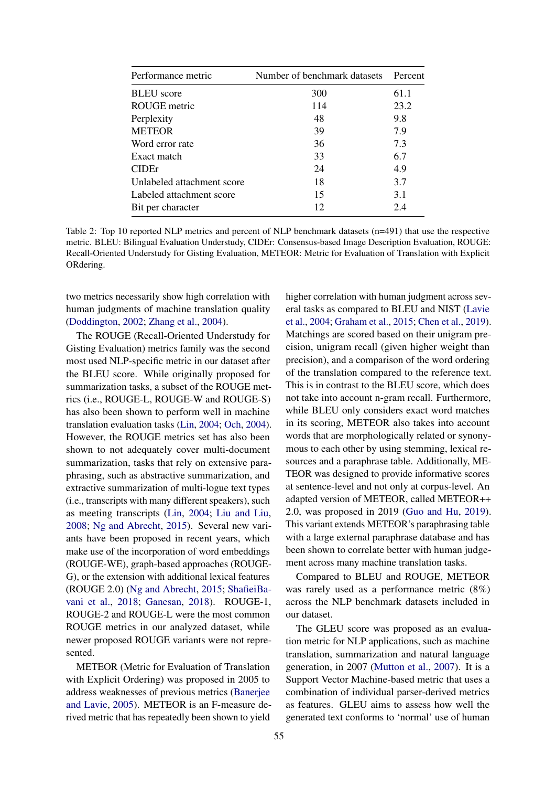<span id="page-3-0"></span>

| Performance metric         | Number of benchmark datasets | Percent |
|----------------------------|------------------------------|---------|
| <b>BLEU</b> score          | 300                          | 61.1    |
| <b>ROUGE</b> metric        | 114                          | 23.2    |
| Perplexity                 | 48                           | 9.8     |
| <b>METEOR</b>              | 39                           | 7.9     |
| Word error rate            | 36                           | 7.3     |
| Exact match                | 33                           | 6.7     |
| <b>CIDE</b> r              | 24                           | 4.9     |
| Unlabeled attachment score | 18                           | 3.7     |
| Labeled attachment score   | 15                           | 3.1     |
| Bit per character          | 12                           | 2.4     |

Table 2: Top 10 reported NLP metrics and percent of NLP benchmark datasets (n=491) that use the respective metric. BLEU: Bilingual Evaluation Understudy, CIDEr: Consensus-based Image Description Evaluation, ROUGE: Recall-Oriented Understudy for Gisting Evaluation, METEOR: Metric for Evaluation of Translation with Explicit ORdering.

two metrics necessarily show high correlation with human judgments of machine translation quality [\(Doddington,](#page-7-6) [2002;](#page-7-6) [Zhang et al.,](#page-8-6) [2004\)](#page-8-6).

The ROUGE (Recall-Oriented Understudy for Gisting Evaluation) metrics family was the second most used NLP-specific metric in our dataset after the BLEU score. While originally proposed for summarization tasks, a subset of the ROUGE metrics (i.e., ROUGE-L, ROUGE-W and ROUGE-S) has also been shown to perform well in machine translation evaluation tasks [\(Lin,](#page-7-0) [2004;](#page-7-0) [Och,](#page-8-7) [2004\)](#page-8-7). However, the ROUGE metrics set has also been shown to not adequately cover multi-document summarization, tasks that rely on extensive paraphrasing, such as abstractive summarization, and extractive summarization of multi-logue text types (i.e., transcripts with many different speakers), such as meeting transcripts [\(Lin,](#page-7-0) [2004;](#page-7-0) [Liu and Liu,](#page-7-1) [2008;](#page-7-1) [Ng and Abrecht,](#page-8-0) [2015\)](#page-8-0). Several new variants have been proposed in recent years, which make use of the incorporation of word embeddings (ROUGE-WE), graph-based approaches (ROUGE-G), or the extension with additional lexical features (ROUGE 2.0) [\(Ng and Abrecht,](#page-8-0) [2015;](#page-8-0) [ShafieiBa](#page-8-8)[vani et al.,](#page-8-8) [2018;](#page-8-8) [Ganesan,](#page-7-7) [2018\)](#page-7-7). ROUGE-1, ROUGE-2 and ROUGE-L were the most common ROUGE metrics in our analyzed dataset, while newer proposed ROUGE variants were not represented.

METEOR (Metric for Evaluation of Translation with Explicit Ordering) was proposed in 2005 to address weaknesses of previous metrics [\(Banerjee](#page-6-0) [and Lavie,](#page-6-0) [2005\)](#page-6-0). METEOR is an F-measure derived metric that has repeatedly been shown to yield

higher correlation with human judgment across several tasks as compared to BLEU and NIST [\(Lavie](#page-7-8) [et al.,](#page-7-8) [2004;](#page-7-8) [Graham et al.,](#page-7-9) [2015;](#page-7-9) [Chen et al.,](#page-7-2) [2019\)](#page-7-2). Matchings are scored based on their unigram precision, unigram recall (given higher weight than precision), and a comparison of the word ordering of the translation compared to the reference text. This is in contrast to the BLEU score, which does not take into account n-gram recall. Furthermore, while BLEU only considers exact word matches in its scoring, METEOR also takes into account words that are morphologically related or synonymous to each other by using stemming, lexical resources and a paraphrase table. Additionally, ME-TEOR was designed to provide informative scores at sentence-level and not only at corpus-level. An adapted version of METEOR, called METEOR++ 2.0, was proposed in 2019 [\(Guo and Hu,](#page-7-10) [2019\)](#page-7-10). This variant extends METEOR's paraphrasing table with a large external paraphrase database and has been shown to correlate better with human judgement across many machine translation tasks.

Compared to BLEU and ROUGE, METEOR was rarely used as a performance metric (8%) across the NLP benchmark datasets included in our dataset.

The GLEU score was proposed as an evaluation metric for NLP applications, such as machine translation, summarization and natural language generation, in 2007 [\(Mutton et al.,](#page-8-9) [2007\)](#page-8-9). It is a Support Vector Machine-based metric that uses a combination of individual parser-derived metrics as features. GLEU aims to assess how well the generated text conforms to 'normal' use of human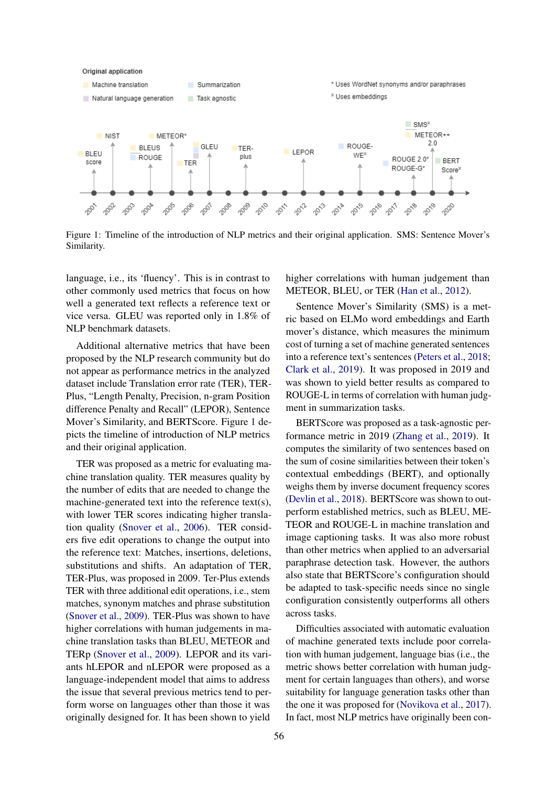<span id="page-4-0"></span>

Figure 1: Timeline of the introduction of NLP metrics and their original application. SMS: Sentence Mover's Similarity.

language, i.e., its 'fluency'. This is in contrast to other commonly used metrics that focus on how well a generated text reflects a reference text or vice versa. GLEU was reported only in 1.8% of NLP benchmark datasets.

Additional alternative metrics that have been proposed by the NLP research community but do not appear as performance metrics in the analyzed dataset include Translation error rate (TER), TER-Plus, "Length Penalty, Precision, n-gram Position difference Penalty and Recall" (LEPOR), Sentence Mover's Similarity, and BERTScore. Figure [1](#page-4-0) depicts the timeline of introduction of NLP metrics and their original application.

TER was proposed as a metric for evaluating machine translation quality. TER measures quality by the number of edits that are needed to change the machine-generated text into the reference text(s), with lower TER scores indicating higher translation quality [\(Snover et al.,](#page-8-10) [2006\)](#page-8-10). TER considers five edit operations to change the output into the reference text: Matches, insertions, deletions, substitutions and shifts. An adaptation of TER, TER-Plus, was proposed in 2009. Ter-Plus extends TER with three additional edit operations, i.e., stem matches, synonym matches and phrase substitution [\(Snover et al.,](#page-8-11) [2009\)](#page-8-11). TER-Plus was shown to have higher correlations with human judgements in machine translation tasks than BLEU, METEOR and TERp [\(Snover et al.,](#page-8-11) [2009\)](#page-8-11). LEPOR and its variants hLEPOR and nLEPOR were proposed as a language-independent model that aims to address the issue that several previous metrics tend to perform worse on languages other than those it was originally designed for. It has been shown to yield

higher correlations with human judgement than METEOR, BLEU, or TER [\(Han et al.,](#page-7-11) [2012\)](#page-7-11).

Sentence Mover's Similarity (SMS) is a metric based on ELMo word embeddings and Earth mover's distance, which measures the minimum cost of turning a set of machine generated sentences into a reference text's sentences [\(Peters et al.,](#page-8-3) [2018;](#page-8-3) [Clark et al.,](#page-7-4) [2019\)](#page-7-4). It was proposed in 2019 and was shown to yield better results as compared to ROUGE-L in terms of correlation with human judgment in summarization tasks.

BERTScore was proposed as a task-agnostic performance metric in 2019 [\(Zhang et al.,](#page-8-2) [2019\)](#page-8-2). It computes the similarity of two sentences based on the sum of cosine similarities between their token's contextual embeddings (BERT), and optionally weighs them by inverse document frequency scores [\(Devlin et al.,](#page-7-12) [2018\)](#page-7-12). BERTScore was shown to outperform established metrics, such as BLEU, ME-TEOR and ROUGE-L in machine translation and image captioning tasks. It was also more robust than other metrics when applied to an adversarial paraphrase detection task. However, the authors also state that BERTScore's configuration should be adapted to task-specific needs since no single configuration consistently outperforms all others across tasks.

Difficulties associated with automatic evaluation of machine generated texts include poor correlation with human judgement, language bias (i.e., the metric shows better correlation with human judgment for certain languages than others), and worse suitability for language generation tasks other than the one it was proposed for [\(Novikova et al.,](#page-8-1) [2017\)](#page-8-1). In fact, most NLP metrics have originally been con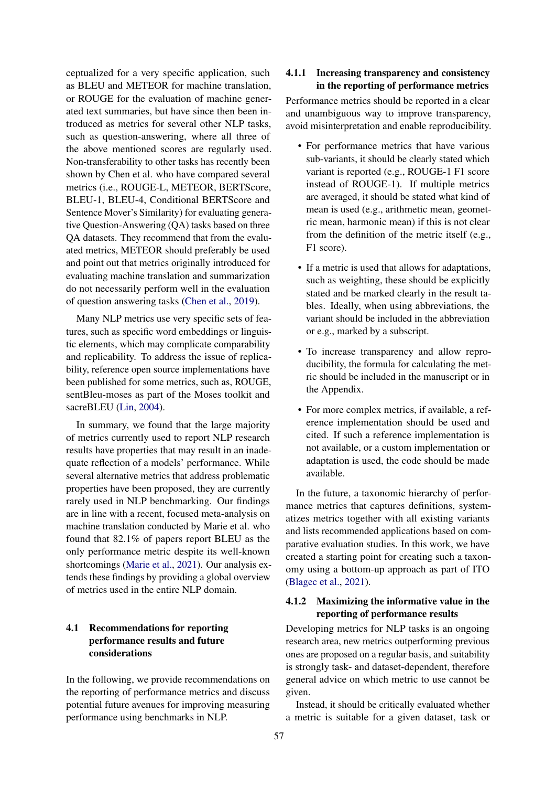ceptualized for a very specific application, such as BLEU and METEOR for machine translation, or ROUGE for the evaluation of machine generated text summaries, but have since then been introduced as metrics for several other NLP tasks, such as question-answering, where all three of the above mentioned scores are regularly used. Non-transferability to other tasks has recently been shown by Chen et al. who have compared several metrics (i.e., ROUGE-L, METEOR, BERTScore, BLEU-1, BLEU-4, Conditional BERTScore and Sentence Mover's Similarity) for evaluating generative Question-Answering (QA) tasks based on three QA datasets. They recommend that from the evaluated metrics, METEOR should preferably be used and point out that metrics originally introduced for evaluating machine translation and summarization do not necessarily perform well in the evaluation of question answering tasks [\(Chen et al.,](#page-7-2) [2019\)](#page-7-2).

Many NLP metrics use very specific sets of features, such as specific word embeddings or linguistic elements, which may complicate comparability and replicability. To address the issue of replicability, reference open source implementations have been published for some metrics, such as, ROUGE, sentBleu-moses as part of the Moses toolkit and sacreBLEU [\(Lin,](#page-7-0) [2004\)](#page-7-0).

In summary, we found that the large majority of metrics currently used to report NLP research results have properties that may result in an inadequate reflection of a models' performance. While several alternative metrics that address problematic properties have been proposed, they are currently rarely used in NLP benchmarking. Our findings are in line with a recent, focused meta-analysis on machine translation conducted by Marie et al. who found that 82.1% of papers report BLEU as the only performance metric despite its well-known shortcomings [\(Marie et al.,](#page-8-12) [2021\)](#page-8-12). Our analysis extends these findings by providing a global overview of metrics used in the entire NLP domain.

# 4.1 Recommendations for reporting performance results and future considerations

In the following, we provide recommendations on the reporting of performance metrics and discuss potential future avenues for improving measuring performance using benchmarks in NLP.

# 4.1.1 Increasing transparency and consistency in the reporting of performance metrics

Performance metrics should be reported in a clear and unambiguous way to improve transparency, avoid misinterpretation and enable reproducibility.

- For performance metrics that have various sub-variants, it should be clearly stated which variant is reported (e.g., ROUGE-1 F1 score instead of ROUGE-1). If multiple metrics are averaged, it should be stated what kind of mean is used (e.g., arithmetic mean, geometric mean, harmonic mean) if this is not clear from the definition of the metric itself (e.g., F1 score).
- If a metric is used that allows for adaptations, such as weighting, these should be explicitly stated and be marked clearly in the result tables. Ideally, when using abbreviations, the variant should be included in the abbreviation or e.g., marked by a subscript.
- To increase transparency and allow reproducibility, the formula for calculating the metric should be included in the manuscript or in the Appendix.
- For more complex metrics, if available, a reference implementation should be used and cited. If such a reference implementation is not available, or a custom implementation or adaptation is used, the code should be made available.

In the future, a taxonomic hierarchy of performance metrics that captures definitions, systematizes metrics together with all existing variants and lists recommended applications based on comparative evaluation studies. In this work, we have created a starting point for creating such a taxonomy using a bottom-up approach as part of ITO [\(Blagec et al.,](#page-7-5) [2021\)](#page-7-5).

# 4.1.2 Maximizing the informative value in the reporting of performance results

Developing metrics for NLP tasks is an ongoing research area, new metrics outperforming previous ones are proposed on a regular basis, and suitability is strongly task- and dataset-dependent, therefore general advice on which metric to use cannot be given.

Instead, it should be critically evaluated whether a metric is suitable for a given dataset, task or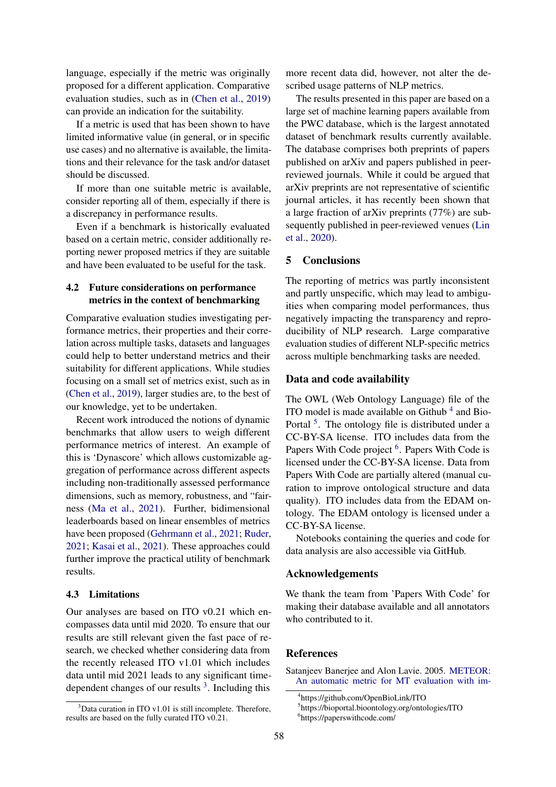language, especially if the metric was originally proposed for a different application. Comparative evaluation studies, such as in [\(Chen et al.,](#page-7-2) [2019\)](#page-7-2) can provide an indication for the suitability.

If a metric is used that has been shown to have limited informative value (in general, or in specific use cases) and no alternative is available, the limitations and their relevance for the task and/or dataset should be discussed.

If more than one suitable metric is available, consider reporting all of them, especially if there is a discrepancy in performance results.

Even if a benchmark is historically evaluated based on a certain metric, consider additionally reporting newer proposed metrics if they are suitable and have been evaluated to be useful for the task.

# 4.2 Future considerations on performance metrics in the context of benchmarking

Comparative evaluation studies investigating performance metrics, their properties and their correlation across multiple tasks, datasets and languages could help to better understand metrics and their suitability for different applications. While studies focusing on a small set of metrics exist, such as in [\(Chen et al.,](#page-7-2) [2019\)](#page-7-2), larger studies are, to the best of our knowledge, yet to be undertaken.

Recent work introduced the notions of dynamic benchmarks that allow users to weigh different performance metrics of interest. An example of this is 'Dynascore' which allows customizable aggregation of performance across different aspects including non-traditionally assessed performance dimensions, such as memory, robustness, and "fairness [\(Ma et al.,](#page-8-13) [2021\)](#page-8-13). Further, bidimensional leaderboards based on linear ensembles of metrics have been proposed [\(Gehrmann et al.,](#page-7-13) [2021;](#page-7-13) [Ruder,](#page-8-14) [2021;](#page-8-14) [Kasai et al.,](#page-7-14) [2021\)](#page-7-14). These approaches could further improve the practical utility of benchmark results.

#### 4.3 Limitations

Our analyses are based on ITO v0.21 which encompasses data until mid 2020. To ensure that our results are still relevant given the fast pace of research, we checked whether considering data from the recently released ITO v1.01 which includes data until mid 2021 leads to any significant timedependent changes of our results  $3$ . Including this

more recent data did, however, not alter the described usage patterns of NLP metrics.

The results presented in this paper are based on a large set of machine learning papers available from the PWC database, which is the largest annotated dataset of benchmark results currently available. The database comprises both preprints of papers published on arXiv and papers published in peerreviewed journals. While it could be argued that arXiv preprints are not representative of scientific journal articles, it has recently been shown that a large fraction of arXiv preprints (77%) are subsequently published in peer-reviewed venues [\(Lin](#page-7-15) [et al.,](#page-7-15) [2020\)](#page-7-15).

# 5 Conclusions

The reporting of metrics was partly inconsistent and partly unspecific, which may lead to ambiguities when comparing model performances, thus negatively impacting the transparency and reproducibility of NLP research. Large comparative evaluation studies of different NLP-specific metrics across multiple benchmarking tasks are needed.

#### Data and code availability

The OWL (Web Ontology Language) file of the ITO model is made available on Github<sup>[4](#page-6-2)</sup> and Bio-Portal <sup>[5](#page-6-3)</sup>. The ontology file is distributed under a CC-BY-SA license. ITO includes data from the Papers With Code project <sup>[6](#page-6-4)</sup>. Papers With Code is licensed under the CC-BY-SA license. Data from Papers With Code are partially altered (manual curation to improve ontological structure and data quality). ITO includes data from the EDAM ontology. The EDAM ontology is licensed under a CC-BY-SA license.

Notebooks containing the queries and code for data analysis are also accessible via GitHub.

#### Acknowledgements

We thank the team from 'Papers With Code' for making their database available and all annotators who contributed to it.

#### References

<span id="page-6-0"></span>Satanjeev Banerjee and Alon Lavie. 2005. [METEOR:](https://www.aclweb.org/anthology/W05-0909/) [An automatic metric for MT evaluation with im-](https://www.aclweb.org/anthology/W05-0909/)

<span id="page-6-1"></span> $3$ Data curation in ITO v1.01 is still incomplete. Therefore, results are based on the fully curated ITO v0.21.

<span id="page-6-2"></span><sup>4</sup> [https://github.com/OpenBioLink/ITO](https://www.aclweb.org/anthology/W05-0909/)

<span id="page-6-3"></span><sup>5</sup> [https://bioportal.bioontology.org/ontologies/ITO](https://www.aclweb.org/anthology/W05-0909/)

<span id="page-6-4"></span><sup>6</sup> [https://paperswithcode.com/](https://www.aclweb.org/anthology/W05-0909/)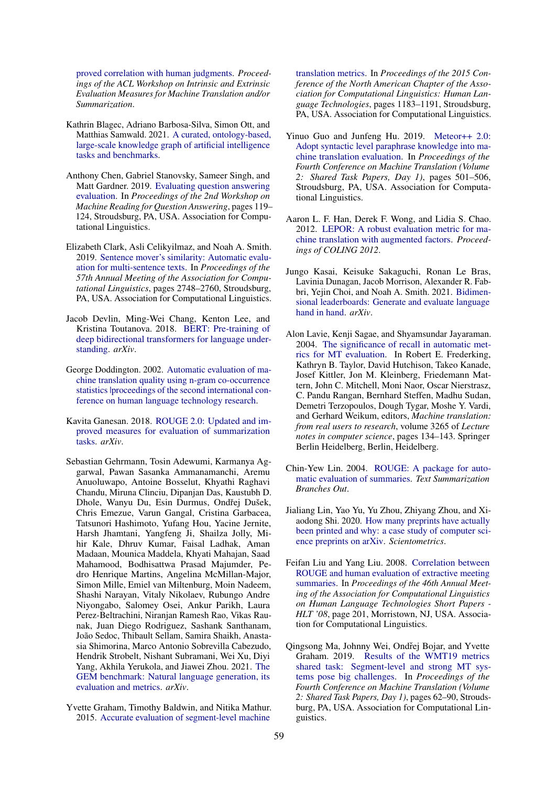[proved correlation with human judgments.](https://www.aclweb.org/anthology/W05-0909/) *Proceedings of the ACL Workshop on Intrinsic and Extrinsic Evaluation Measures for Machine Translation and/or Summarization*.

- <span id="page-7-5"></span>Kathrin Blagec, Adriano Barbosa-Silva, Simon Ott, and Matthias Samwald. 2021. [A curated, ontology-based,](https://arxiv.org/abs/2110.01434) [large-scale knowledge graph of artificial intelligence](https://arxiv.org/abs/2110.01434) [tasks and benchmarks.](https://arxiv.org/abs/2110.01434)
- <span id="page-7-2"></span>Anthony Chen, Gabriel Stanovsky, Sameer Singh, and Matt Gardner. 2019. [Evaluating question answering](https://doi.org/10.18653/v1/D19-5817) [evaluation.](https://doi.org/10.18653/v1/D19-5817) In *Proceedings of the 2nd Workshop on Machine Reading for Question Answering*, pages 119– 124, Stroudsburg, PA, USA. Association for Computational Linguistics.
- <span id="page-7-4"></span>Elizabeth Clark, Asli Celikyilmaz, and Noah A. Smith. 2019. [Sentence mover's similarity: Automatic evalu](https://doi.org/10.18653/v1/P19-1264)[ation for multi-sentence texts.](https://doi.org/10.18653/v1/P19-1264) In *Proceedings of the 57th Annual Meeting of the Association for Computational Linguistics*, pages 2748–2760, Stroudsburg, PA, USA. Association for Computational Linguistics.
- <span id="page-7-12"></span>Jacob Devlin, Ming-Wei Chang, Kenton Lee, and Kristina Toutanova. 2018. [BERT: Pre-training of](https://arxiv.org/abs/1810.04805) [deep bidirectional transformers for language under](https://arxiv.org/abs/1810.04805)[standing.](https://arxiv.org/abs/1810.04805) *arXiv*.
- <span id="page-7-6"></span>George Doddington. 2002. [Automatic evaluation of ma](https://dl.acm.org/doi/10.5555/1289189.1289273)[chine translation quality using n-gram co-occurrence](https://dl.acm.org/doi/10.5555/1289189.1289273) [statistics |proceedings of the second international con](https://dl.acm.org/doi/10.5555/1289189.1289273)[ference on human language technology research.](https://dl.acm.org/doi/10.5555/1289189.1289273)
- <span id="page-7-7"></span>Kavita Ganesan. 2018. [ROUGE 2.0: Updated and im](https://arxiv.org/abs/1803.01937)[proved measures for evaluation of summarization](https://arxiv.org/abs/1803.01937) [tasks.](https://arxiv.org/abs/1803.01937) *arXiv*.
- <span id="page-7-13"></span>Sebastian Gehrmann, Tosin Adewumi, Karmanya Aggarwal, Pawan Sasanka Ammanamanchi, Aremu Anuoluwapo, Antoine Bosselut, Khyathi Raghavi Chandu, Miruna Clinciu, Dipanjan Das, Kaustubh D. Dhole, Wanyu Du, Esin Durmus, Ondřej Dušek, Chris Emezue, Varun Gangal, Cristina Garbacea, Tatsunori Hashimoto, Yufang Hou, Yacine Jernite, Harsh Jhamtani, Yangfeng Ji, Shailza Jolly, Mihir Kale, Dhruv Kumar, Faisal Ladhak, Aman Madaan, Mounica Maddela, Khyati Mahajan, Saad Mahamood, Bodhisattwa Prasad Majumder, Pedro Henrique Martins, Angelina McMillan-Major, Simon Mille, Emiel van Miltenburg, Moin Nadeem, Shashi Narayan, Vitaly Nikolaev, Rubungo Andre Niyongabo, Salomey Osei, Ankur Parikh, Laura Perez-Beltrachini, Niranjan Ramesh Rao, Vikas Raunak, Juan Diego Rodriguez, Sashank Santhanam, João Sedoc, Thibault Sellam, Samira Shaikh, Anastasia Shimorina, Marco Antonio Sobrevilla Cabezudo, Hendrik Strobelt, Nishant Subramani, Wei Xu, Diyi Yang, Akhila Yerukola, and Jiawei Zhou. 2021. [The](https://doi.org/10.48550/arxiv.2102.01672) [GEM benchmark: Natural language generation, its](https://doi.org/10.48550/arxiv.2102.01672) [evaluation and metrics.](https://doi.org/10.48550/arxiv.2102.01672) *arXiv*.
- <span id="page-7-9"></span>Yvette Graham, Timothy Baldwin, and Nitika Mathur. 2015. [Accurate evaluation of segment-level machine](https://doi.org/10.3115/v1/N15-1124)

[translation metrics.](https://doi.org/10.3115/v1/N15-1124) In *Proceedings of the 2015 Conference of the North American Chapter of the Association for Computational Linguistics: Human Language Technologies*, pages 1183–1191, Stroudsburg, PA, USA. Association for Computational Linguistics.

- <span id="page-7-10"></span>Yinuo Guo and Junfeng Hu. 2019. [Meteor++ 2.0:](https://doi.org/10.18653/v1/W19-5357) [Adopt syntactic level paraphrase knowledge into ma](https://doi.org/10.18653/v1/W19-5357)[chine translation evaluation.](https://doi.org/10.18653/v1/W19-5357) In *Proceedings of the Fourth Conference on Machine Translation (Volume 2: Shared Task Papers, Day 1)*, pages 501–506, Stroudsburg, PA, USA. Association for Computational Linguistics.
- <span id="page-7-11"></span>Aaron L. F. Han, Derek F. Wong, and Lidia S. Chao. 2012. [LEPOR: A robust evaluation metric for ma](https://www.aclweb.org/anthology/C12-2044/)[chine translation with augmented factors.](https://www.aclweb.org/anthology/C12-2044/) *Proceedings of COLING 2012*.
- <span id="page-7-14"></span>Jungo Kasai, Keisuke Sakaguchi, Ronan Le Bras, Lavinia Dunagan, Jacob Morrison, Alexander R. Fabbri, Yejin Choi, and Noah A. Smith. 2021. [Bidimen](https://doi.org/10.48550/arxiv.2112.04139)[sional leaderboards: Generate and evaluate language](https://doi.org/10.48550/arxiv.2112.04139) [hand in hand.](https://doi.org/10.48550/arxiv.2112.04139) *arXiv*.
- <span id="page-7-8"></span>Alon Lavie, Kenji Sagae, and Shyamsundar Jayaraman. 2004. [The significance of recall in automatic met](https://doi.org/10.1007/978-3-540-30194-3_16)[rics for MT evaluation.](https://doi.org/10.1007/978-3-540-30194-3_16) In Robert E. Frederking, Kathryn B. Taylor, David Hutchison, Takeo Kanade, Josef Kittler, Jon M. Kleinberg, Friedemann Mattern, John C. Mitchell, Moni Naor, Oscar Nierstrasz, C. Pandu Rangan, Bernhard Steffen, Madhu Sudan, Demetri Terzopoulos, Dough Tygar, Moshe Y. Vardi, and Gerhard Weikum, editors, *Machine translation: from real users to research*, volume 3265 of *Lecture notes in computer science*, pages 134–143. Springer Berlin Heidelberg, Berlin, Heidelberg.
- <span id="page-7-0"></span>Chin-Yew Lin. 2004. [ROUGE: A package for auto](https://www.aclweb.org/anthology/W04-1013/)[matic evaluation of summaries.](https://www.aclweb.org/anthology/W04-1013/) *Text Summarization Branches Out*.
- <span id="page-7-15"></span>Jialiang Lin, Yao Yu, Yu Zhou, Zhiyang Zhou, and Xiaodong Shi. 2020. [How many preprints have actually](https://doi.org/10.1007/s11192-020-03430-8) [been printed and why: a case study of computer sci](https://doi.org/10.1007/s11192-020-03430-8)[ence preprints on arXiv.](https://doi.org/10.1007/s11192-020-03430-8) *Scientometrics*.
- <span id="page-7-1"></span>Feifan Liu and Yang Liu. 2008. [Correlation between](https://doi.org/10.3115/1557690.1557747) [ROUGE and human evaluation of extractive meeting](https://doi.org/10.3115/1557690.1557747) [summaries.](https://doi.org/10.3115/1557690.1557747) In *Proceedings of the 46th Annual Meeting of the Association for Computational Linguistics on Human Language Technologies Short Papers - HLT '08*, page 201, Morristown, NJ, USA. Association for Computational Linguistics.
- <span id="page-7-3"></span>Qingsong Ma, Johnny Wei, Ondřej Bojar, and Yvette Graham. 2019. [Results of the WMT19 metrics](https://doi.org/10.18653/v1/W19-5302) [shared task: Segment-level and strong MT sys](https://doi.org/10.18653/v1/W19-5302)[tems pose big challenges.](https://doi.org/10.18653/v1/W19-5302) In *Proceedings of the Fourth Conference on Machine Translation (Volume 2: Shared Task Papers, Day 1)*, pages 62–90, Stroudsburg, PA, USA. Association for Computational Linguistics.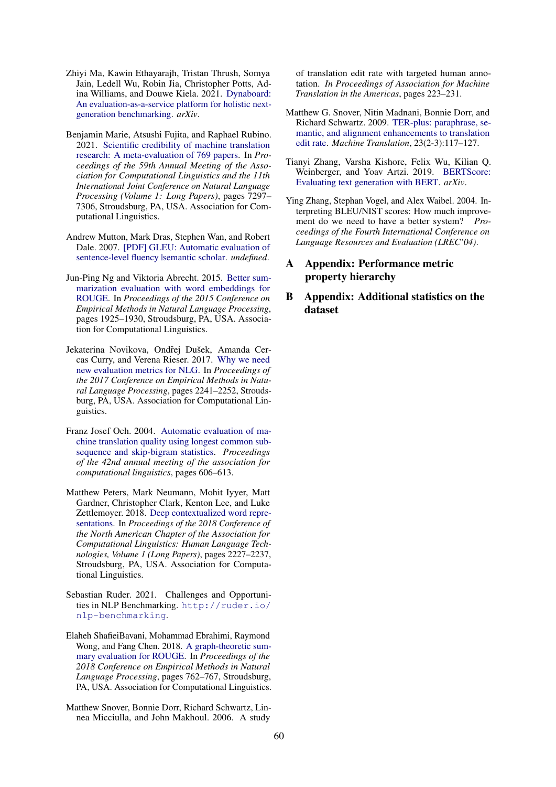- <span id="page-8-13"></span>Zhiyi Ma, Kawin Ethayarajh, Tristan Thrush, Somya Jain, Ledell Wu, Robin Jia, Christopher Potts, Adina Williams, and Douwe Kiela. 2021. [Dynaboard:](https://doi.org/10.48550/arxiv.2106.06052) [An evaluation-as-a-service platform for holistic next](https://doi.org/10.48550/arxiv.2106.06052)[generation benchmarking.](https://doi.org/10.48550/arxiv.2106.06052) *arXiv*.
- <span id="page-8-12"></span>Benjamin Marie, Atsushi Fujita, and Raphael Rubino. 2021. [Scientific credibility of machine translation](https://doi.org/10.18653/v1/2021.acl-long.566) [research: A meta-evaluation of 769 papers.](https://doi.org/10.18653/v1/2021.acl-long.566) In *Proceedings of the 59th Annual Meeting of the Association for Computational Linguistics and the 11th International Joint Conference on Natural Language Processing (Volume 1: Long Papers)*, pages 7297– 7306, Stroudsburg, PA, USA. Association for Computational Linguistics.
- <span id="page-8-9"></span>Andrew Mutton, Mark Dras, Stephen Wan, and Robert Dale. 2007. [\[PDF\] GLEU: Automatic evaluation of](https://aclanthology.org/P07-1044.pdf) [sentence-level fluency |semantic scholar.](https://aclanthology.org/P07-1044.pdf) *undefined*.
- <span id="page-8-0"></span>Jun-Ping Ng and Viktoria Abrecht. 2015. [Better sum](https://doi.org/10.18653/v1/D15-1222)[marization evaluation with word embeddings for](https://doi.org/10.18653/v1/D15-1222) [ROUGE.](https://doi.org/10.18653/v1/D15-1222) In *Proceedings of the 2015 Conference on Empirical Methods in Natural Language Processing*, pages 1925–1930, Stroudsburg, PA, USA. Association for Computational Linguistics.
- <span id="page-8-1"></span>Jekaterina Novikova, Ondřej Dušek, Amanda Cercas Curry, and Verena Rieser. 2017. [Why we need](https://doi.org/10.18653/v1/D17-1238) [new evaluation metrics for NLG.](https://doi.org/10.18653/v1/D17-1238) In *Proceedings of the 2017 Conference on Empirical Methods in Natural Language Processing*, pages 2241–2252, Stroudsburg, PA, USA. Association for Computational Linguistics.
- <span id="page-8-7"></span>Franz Josef Och. 2004. [Automatic evaluation of ma](http://citeseerx.ist.psu.edu/viewdoc/summary?doi=10.1.1.573.4404)[chine translation quality using longest common sub](http://citeseerx.ist.psu.edu/viewdoc/summary?doi=10.1.1.573.4404)[sequence and skip-bigram statistics.](http://citeseerx.ist.psu.edu/viewdoc/summary?doi=10.1.1.573.4404) *Proceedings of the 42nd annual meeting of the association for computational linguistics*, pages 606–613.
- <span id="page-8-3"></span>Matthew Peters, Mark Neumann, Mohit Iyyer, Matt Gardner, Christopher Clark, Kenton Lee, and Luke Zettlemoyer. 2018. [Deep contextualized word repre](https://doi.org/10.18653/v1/N18-1202)[sentations.](https://doi.org/10.18653/v1/N18-1202) In *Proceedings of the 2018 Conference of the North American Chapter of the Association for Computational Linguistics: Human Language Technologies, Volume 1 (Long Papers)*, pages 2227–2237, Stroudsburg, PA, USA. Association for Computational Linguistics.
- <span id="page-8-14"></span>Sebastian Ruder. 2021. Challenges and Opportunities in NLP Benchmarking. [http://ruder.io/](http://ruder.io/nlp-benchmarking) [nlp-benchmarking](http://ruder.io/nlp-benchmarking).
- <span id="page-8-8"></span>Elaheh ShafieiBavani, Mohammad Ebrahimi, Raymond Wong, and Fang Chen. 2018. [A graph-theoretic sum](https://doi.org/10.18653/v1/D18-1085)[mary evaluation for ROUGE.](https://doi.org/10.18653/v1/D18-1085) In *Proceedings of the 2018 Conference on Empirical Methods in Natural Language Processing*, pages 762–767, Stroudsburg, PA, USA. Association for Computational Linguistics.
- <span id="page-8-10"></span>Matthew Snover, Bonnie Dorr, Richard Schwartz, Linnea Micciulla, and John Makhoul. 2006. A study

of translation edit rate with targeted human annotation. *In Proceedings of Association for Machine Translation in the Americas*, pages 223–231.

- <span id="page-8-11"></span>Matthew G. Snover, Nitin Madnani, Bonnie Dorr, and Richard Schwartz. 2009. [TER-plus: paraphrase, se](https://doi.org/10.1007/s10590-009-9062-9)[mantic, and alignment enhancements to translation](https://doi.org/10.1007/s10590-009-9062-9) [edit rate.](https://doi.org/10.1007/s10590-009-9062-9) *Machine Translation*, 23(2-3):117–127.
- <span id="page-8-2"></span>Tianyi Zhang, Varsha Kishore, Felix Wu, Kilian Q. Weinberger, and Yoav Artzi. 2019. [BERTScore:](https://arxiv.org/abs/1904.09675) [Evaluating text generation with BERT.](https://arxiv.org/abs/1904.09675) *arXiv*.
- <span id="page-8-6"></span>Ying Zhang, Stephan Vogel, and Alex Waibel. 2004. Interpreting BLEU/NIST scores: How much improvement do we need to have a better system? *Proceedings of the Fourth International Conference on Language Resources and Evaluation (LREC'04)*.

## <span id="page-8-4"></span>A Appendix: Performance metric property hierarchy

<span id="page-8-5"></span>B Appendix: Additional statistics on the dataset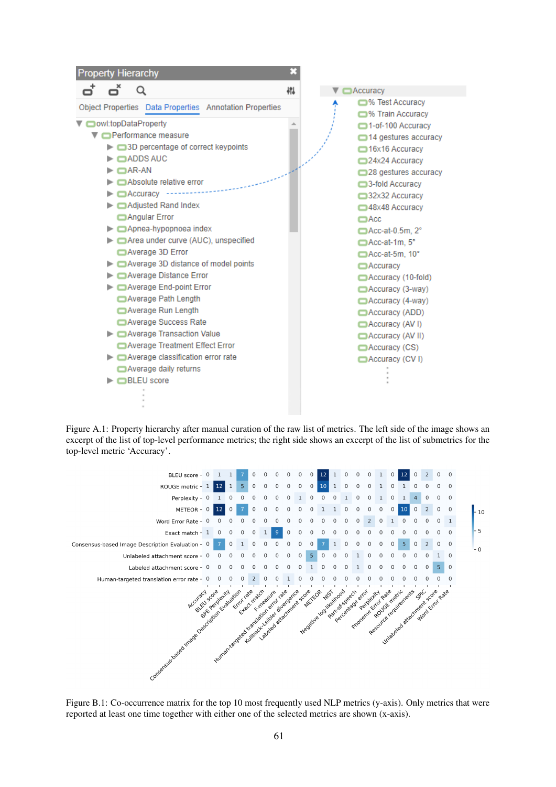<span id="page-9-0"></span>

Figure A.1: Property hierarchy after manual curation of the raw list of metrics. The left side of the image shows an excerpt of the list of top-level performance metrics; the right side shows an excerpt of the list of submetrics for the top-level metric 'Accuracy'.

<span id="page-9-1"></span>

Figure B.1: Co-occurrence matrix for the top 10 most frequently used NLP metrics (y-axis). Only metrics that were reported at least one time together with either one of the selected metrics are shown (x-axis).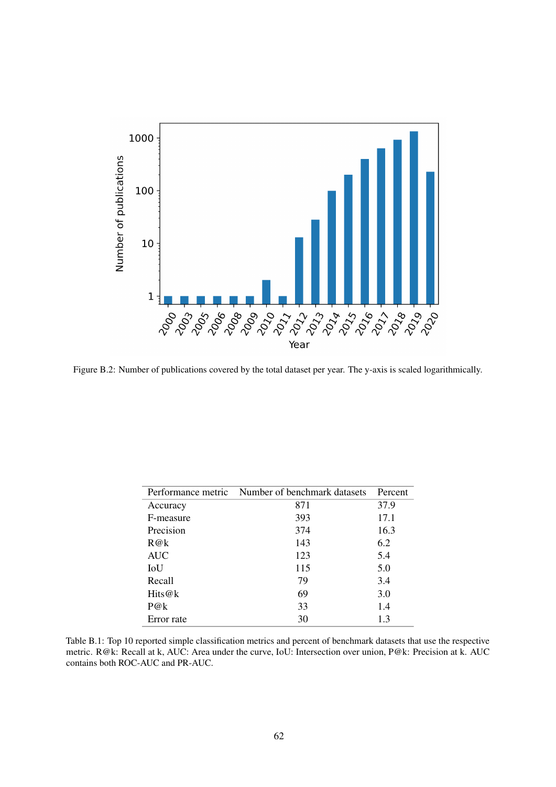<span id="page-10-1"></span>

Figure B.2: Number of publications covered by the total dataset per year. The y-axis is scaled logarithmically.

<span id="page-10-0"></span>

|            | Performance metric Number of benchmark datasets | Percent |
|------------|-------------------------------------------------|---------|
| Accuracy   | 871                                             | 37.9    |
| F-measure  | 393                                             | 17.1    |
| Precision  | 374                                             | 16.3    |
| R@k        | 143                                             | 6.2     |
| <b>AUC</b> | 123                                             | 5.4     |
| IoU        | 115                                             | 5.0     |
| Recall     | 79                                              | 3.4     |
| Hits@k     | 69                                              | 3.0     |
| P@k        | 33                                              | 1.4     |
| Error rate | 30                                              | 1.3     |

Table B.1: Top 10 reported simple classification metrics and percent of benchmark datasets that use the respective metric. R@k: Recall at k, AUC: Area under the curve, IoU: Intersection over union, P@k: Precision at k. AUC contains both ROC-AUC and PR-AUC.